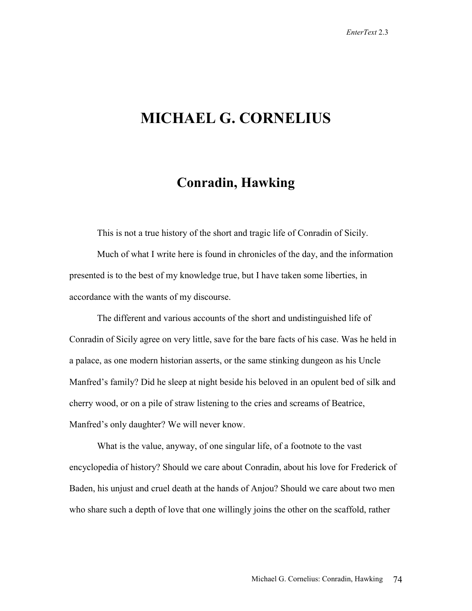# **MICHAEL G. CORNELIUS**

## **Conradin, Hawking**

This is not a true history of the short and tragic life of Conradin of Sicily.

 Much of what I write here is found in chronicles of the day, and the information presented is to the best of my knowledge true, but I have taken some liberties, in accordance with the wants of my discourse.

 The different and various accounts of the short and undistinguished life of Conradin of Sicily agree on very little, save for the bare facts of his case. Was he held in a palace, as one modern historian asserts, or the same stinking dungeon as his Uncle Manfred's family? Did he sleep at night beside his beloved in an opulent bed of silk and cherry wood, or on a pile of straw listening to the cries and screams of Beatrice, Manfred's only daughter? We will never know.

 What is the value, anyway, of one singular life, of a footnote to the vast encyclopedia of history? Should we care about Conradin, about his love for Frederick of Baden, his unjust and cruel death at the hands of Anjou? Should we care about two men who share such a depth of love that one willingly joins the other on the scaffold, rather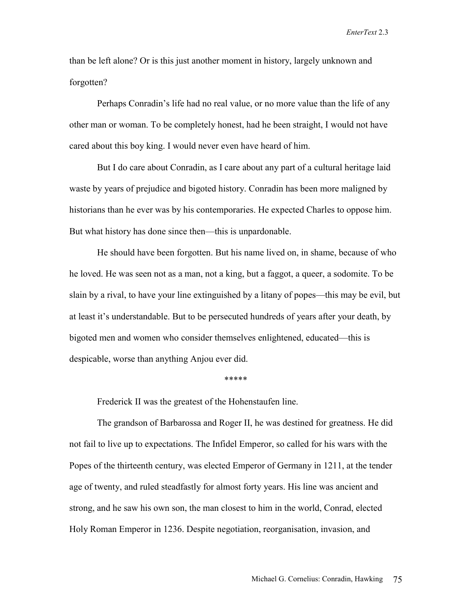than be left alone? Or is this just another moment in history, largely unknown and forgotten?

Perhaps Conradin's life had no real value, or no more value than the life of any other man or woman. To be completely honest, had he been straight, I would not have cared about this boy king. I would never even have heard of him.

 But I do care about Conradin, as I care about any part of a cultural heritage laid waste by years of prejudice and bigoted history. Conradin has been more maligned by historians than he ever was by his contemporaries. He expected Charles to oppose him. But what history has done since then—this is unpardonable.

 He should have been forgotten. But his name lived on, in shame, because of who he loved. He was seen not as a man, not a king, but a faggot, a queer, a sodomite. To be slain by a rival, to have your line extinguished by a litany of popes—this may be evil, but at least it's understandable. But to be persecuted hundreds of years after your death, by bigoted men and women who consider themselves enlightened, educated—this is despicable, worse than anything Anjou ever did.

\*\*\*\*\*

Frederick II was the greatest of the Hohenstaufen line.

 The grandson of Barbarossa and Roger II, he was destined for greatness. He did not fail to live up to expectations. The Infidel Emperor, so called for his wars with the Popes of the thirteenth century, was elected Emperor of Germany in 1211, at the tender age of twenty, and ruled steadfastly for almost forty years. His line was ancient and strong, and he saw his own son, the man closest to him in the world, Conrad, elected Holy Roman Emperor in 1236. Despite negotiation, reorganisation, invasion, and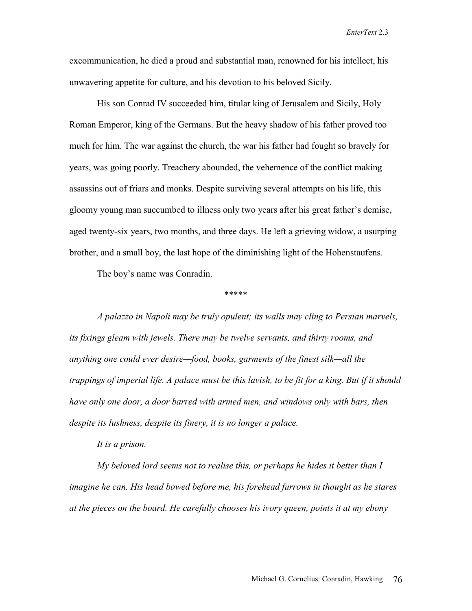excommunication, he died a proud and substantial man, renowned for his intellect, his unwavering appetite for culture, and his devotion to his beloved Sicily.

 His son Conrad IV succeeded him, titular king of Jerusalem and Sicily, Holy Roman Emperor, king of the Germans. But the heavy shadow of his father proved too much for him. The war against the church, the war his father had fought so bravely for years, was going poorly. Treachery abounded, the vehemence of the conflict making assassins out of friars and monks. Despite surviving several attempts on his life, this gloomy young man succumbed to illness only two years after his great father's demise, aged twenty-six years, two months, and three days. He left a grieving widow, a usurping brother, and a small boy, the last hope of the diminishing light of the Hohenstaufens.

The boy's name was Conradin.

\*\*\*\*\*

*A palazzo in Napoli may be truly opulent; its walls may cling to Persian marvels, its fixings gleam with jewels. There may be twelve servants, and thirty rooms, and anything one could ever desire—food, books, garments of the finest silk—all the trappings of imperial life. A palace must be this lavish, to be fit for a king. But if it should have only one door, a door barred with armed men, and windows only with bars, then despite its lushness, despite its finery, it is no longer a palace.* 

 *It is a prison.* 

 *My beloved lord seems not to realise this, or perhaps he hides it better than I imagine he can. His head bowed before me, his forehead furrows in thought as he stares at the pieces on the board. He carefully chooses his ivory queen, points it at my ebony*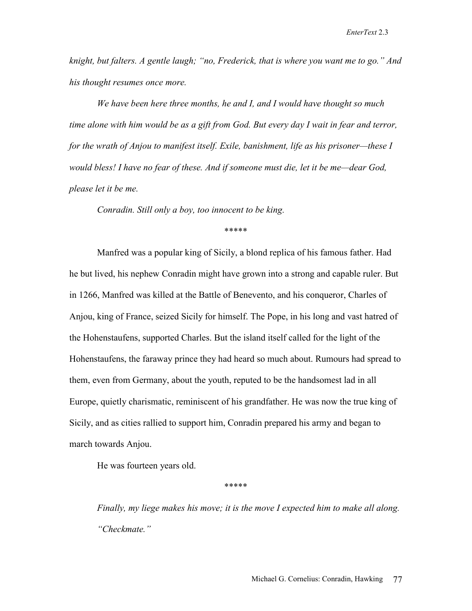*knight, but falters. A gentle laugh; "no, Frederick, that is where you want me to go." And his thought resumes once more.* 

 *We have been here three months, he and I, and I would have thought so much time alone with him would be as a gift from God. But every day I wait in fear and terror, for the wrath of Anjou to manifest itself. Exile, banishment, life as his prisoner—these I would bless! I have no fear of these. And if someone must die, let it be me—dear God, please let it be me.* 

 *Conradin. Still only a boy, too innocent to be king.* 

### \*\*\*\*\*

 Manfred was a popular king of Sicily, a blond replica of his famous father. Had he but lived, his nephew Conradin might have grown into a strong and capable ruler. But in 1266, Manfred was killed at the Battle of Benevento, and his conqueror, Charles of Anjou, king of France, seized Sicily for himself. The Pope, in his long and vast hatred of the Hohenstaufens, supported Charles. But the island itself called for the light of the Hohenstaufens, the faraway prince they had heard so much about. Rumours had spread to them, even from Germany, about the youth, reputed to be the handsomest lad in all Europe, quietly charismatic, reminiscent of his grandfather. He was now the true king of Sicily, and as cities rallied to support him, Conradin prepared his army and began to march towards Anjou.

He was fourteen years old.

\*\*\*\*\*

*Finally, my liege makes his move; it is the move I expected him to make all along. "Checkmate."*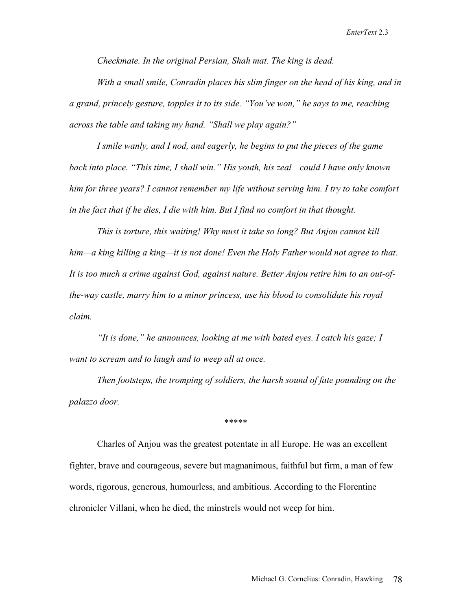*Checkmate. In the original Persian, Shah mat. The king is dead.* 

 *With a small smile, Conradin places his slim finger on the head of his king, and in a grand, princely gesture, topples it to its side. "You've won," he says to me, reaching across the table and taking my hand. "Shall we play again?"* 

 *I smile wanly, and I nod, and eagerly, he begins to put the pieces of the game back into place. "This time, I shall win." His youth, his zeal—could I have only known him for three years? I cannot remember my life without serving him. I try to take comfort in the fact that if he dies, I die with him. But I find no comfort in that thought.* 

 *This is torture, this waiting! Why must it take so long? But Anjou cannot kill him—a king killing a king—it is not done! Even the Holy Father would not agree to that. It is too much a crime against God, against nature. Better Anjou retire him to an out-ofthe-way castle, marry him to a minor princess, use his blood to consolidate his royal claim.* 

 *"It is done," he announces, looking at me with bated eyes. I catch his gaze; I want to scream and to laugh and to weep all at once.* 

 *Then footsteps, the tromping of soldiers, the harsh sound of fate pounding on the palazzo door.* 

\*\*\*\*\*

 Charles of Anjou was the greatest potentate in all Europe. He was an excellent fighter, brave and courageous, severe but magnanimous, faithful but firm, a man of few words, rigorous, generous, humourless, and ambitious. According to the Florentine chronicler Villani, when he died, the minstrels would not weep for him.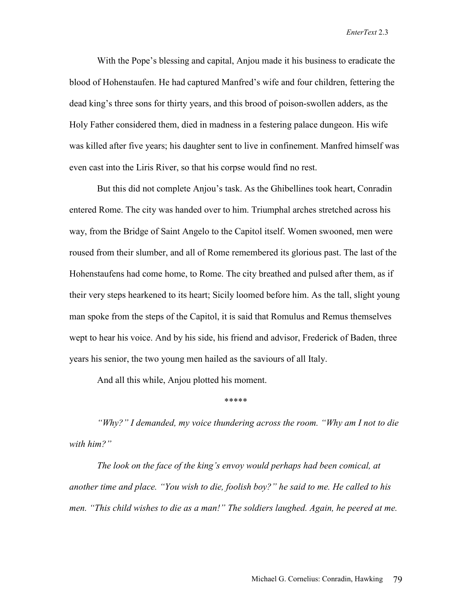With the Pope's blessing and capital, Anjou made it his business to eradicate the blood of Hohenstaufen. He had captured Manfred's wife and four children, fettering the dead king's three sons for thirty years, and this brood of poison-swollen adders, as the Holy Father considered them, died in madness in a festering palace dungeon. His wife was killed after five years; his daughter sent to live in confinement. Manfred himself was even cast into the Liris River, so that his corpse would find no rest.

 But this did not complete Anjou's task. As the Ghibellines took heart, Conradin entered Rome. The city was handed over to him. Triumphal arches stretched across his way, from the Bridge of Saint Angelo to the Capitol itself. Women swooned, men were roused from their slumber, and all of Rome remembered its glorious past. The last of the Hohenstaufens had come home, to Rome. The city breathed and pulsed after them, as if their very steps hearkened to its heart; Sicily loomed before him. As the tall, slight young man spoke from the steps of the Capitol, it is said that Romulus and Remus themselves wept to hear his voice. And by his side, his friend and advisor, Frederick of Baden, three years his senior, the two young men hailed as the saviours of all Italy.

And all this while, Anjou plotted his moment.

#### \*\*\*\*\*

*"Why?" I demanded, my voice thundering across the room. "Why am I not to die with him?"* 

 *The look on the face of the king's envoy would perhaps had been comical, at another time and place. "You wish to die, foolish boy?" he said to me. He called to his*  men. "This child wishes to die as a man!" The soldiers laughed. Again, he peered at me.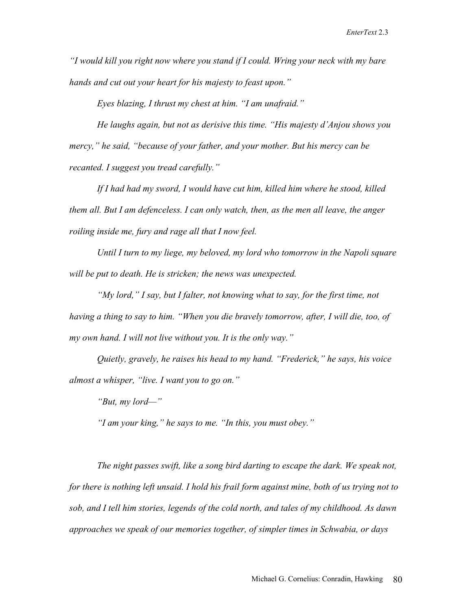*"I would kill you right now where you stand if I could. Wring your neck with my bare hands and cut out your heart for his majesty to feast upon."* 

 *Eyes blazing, I thrust my chest at him. "I am unafraid."* 

 *He laughs again, but not as derisive this time. "His majesty d'Anjou shows you mercy," he said, "because of your father, and your mother. But his mercy can be recanted. I suggest you tread carefully."* 

 *If I had had my sword, I would have cut him, killed him where he stood, killed them all. But I am defenceless. I can only watch, then, as the men all leave, the anger roiling inside me, fury and rage all that I now feel.* 

 *Until I turn to my liege, my beloved, my lord who tomorrow in the Napoli square will be put to death. He is stricken; the news was unexpected.* 

 *"My lord," I say, but I falter, not knowing what to say, for the first time, not having a thing to say to him. "When you die bravely tomorrow, after, I will die, too, of my own hand. I will not live without you. It is the only way."* 

 *Quietly, gravely, he raises his head to my hand. "Frederick," he says, his voice almost a whisper, "live. I want you to go on."* 

 *"But, my lord—"* 

 *"I am your king," he says to me. "In this, you must obey."* 

 *The night passes swift, like a song bird darting to escape the dark. We speak not, for there is nothing left unsaid. I hold his frail form against mine, both of us trying not to sob, and I tell him stories, legends of the cold north, and tales of my childhood. As dawn approaches we speak of our memories together, of simpler times in Schwabia, or days*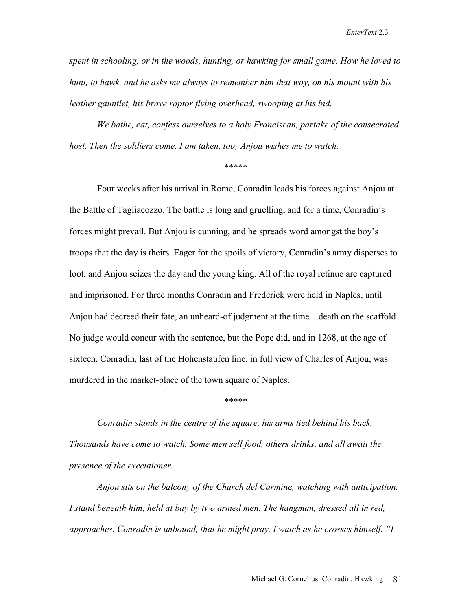*spent in schooling, or in the woods, hunting, or hawking for small game. How he loved to hunt, to hawk, and he asks me always to remember him that way, on his mount with his leather gauntlet, his brave raptor flying overhead, swooping at his bid.* 

 *We bathe, eat, confess ourselves to a holy Franciscan, partake of the consecrated host. Then the soldiers come. I am taken, too; Anjou wishes me to watch.* 

\*\*\*\*\*

 Four weeks after his arrival in Rome, Conradin leads his forces against Anjou at the Battle of Tagliacozzo. The battle is long and gruelling, and for a time, Conradin's forces might prevail. But Anjou is cunning, and he spreads word amongst the boy's troops that the day is theirs. Eager for the spoils of victory, Conradin's army disperses to loot, and Anjou seizes the day and the young king. All of the royal retinue are captured and imprisoned. For three months Conradin and Frederick were held in Naples, until Anjou had decreed their fate, an unheard-of judgment at the time—death on the scaffold. No judge would concur with the sentence, but the Pope did, and in 1268, at the age of sixteen, Conradin, last of the Hohenstaufen line, in full view of Charles of Anjou, was murdered in the market-place of the town square of Naples.

\*\*\*\*\*

*Conradin stands in the centre of the square, his arms tied behind his back. Thousands have come to watch. Some men sell food, others drinks, and all await the presence of the executioner.* 

 *Anjou sits on the balcony of the Church del Carmine, watching with anticipation.*  I stand beneath him, held at bay by two armed men. The hangman, dressed all in red, *approaches. Conradin is unbound, that he might pray. I watch as he crosses himself. "I*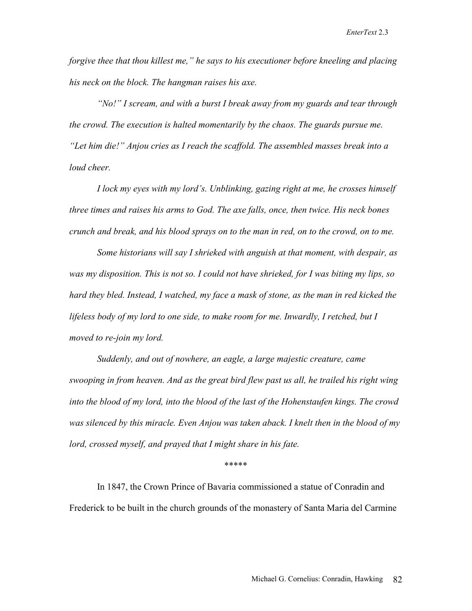*forgive thee that thou killest me," he says to his executioner before kneeling and placing his neck on the block. The hangman raises his axe.* 

 *"No!" I scream, and with a burst I break away from my guards and tear through the crowd. The execution is halted momentarily by the chaos. The guards pursue me. "Let him die!" Anjou cries as I reach the scaffold. The assembled masses break into a loud cheer.* 

 *I lock my eyes with my lord's. Unblinking, gazing right at me, he crosses himself three times and raises his arms to God. The axe falls, once, then twice. His neck bones crunch and break, and his blood sprays on to the man in red, on to the crowd, on to me.* 

 *Some historians will say I shrieked with anguish at that moment, with despair, as was my disposition. This is not so. I could not have shrieked, for I was biting my lips, so hard they bled. Instead, I watched, my face a mask of stone, as the man in red kicked the lifeless body of my lord to one side, to make room for me. Inwardly, I retched, but I moved to re-join my lord.* 

 *Suddenly, and out of nowhere, an eagle, a large majestic creature, came swooping in from heaven. And as the great bird flew past us all, he trailed his right wing into the blood of my lord, into the blood of the last of the Hohenstaufen kings. The crowd was silenced by this miracle. Even Anjou was taken aback. I knelt then in the blood of my*  lord, crossed myself, and prayed that I might share in his fate.

#### \*\*\*\*\*

In 1847, the Crown Prince of Bavaria commissioned a statue of Conradin and Frederick to be built in the church grounds of the monastery of Santa Maria del Carmine